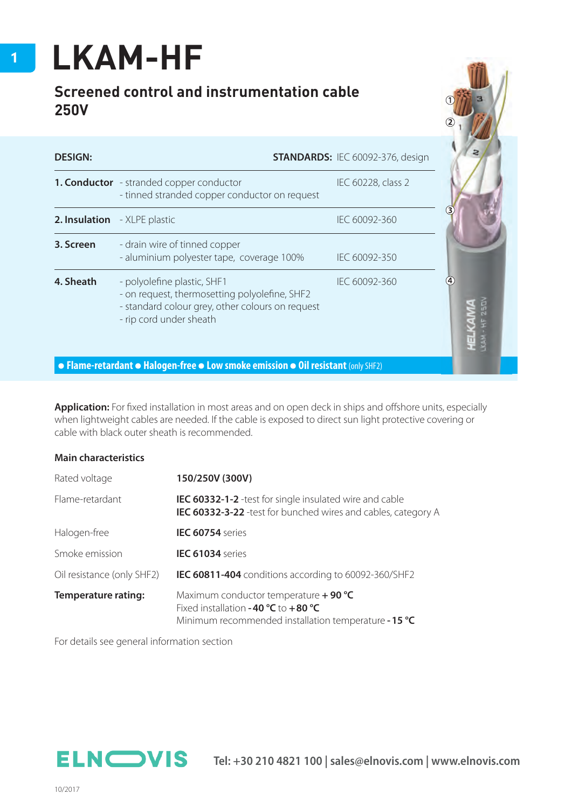## **LKAM-HF**

## **Screened control and instrumentation cable 250V**

| <b>DESIGN:</b>               |                                                                                                                                                             | <b>STANDARDS: IEC 60092-376, design</b> |                   |
|------------------------------|-------------------------------------------------------------------------------------------------------------------------------------------------------------|-----------------------------------------|-------------------|
|                              | <b>1. Conductor</b> - stranded copper conductor<br>- tinned stranded copper conductor on request                                                            | IEC 60228, class 2                      |                   |
| 2. Insulation - XLPE plastic |                                                                                                                                                             | IEC 60092-360                           |                   |
| 3. Screen                    | - drain wire of tinned copper<br>- aluminium polyester tape, coverage 100%                                                                                  | IEC 60092-350                           |                   |
| 4. Sheath                    | - polyolefine plastic, SHF1<br>- on request, thermosetting polyolefine, SHF2<br>- standard colour grey, other colours on request<br>- rip cord under sheath | IEC 60092-360                           | $\left( 4\right)$ |

Application: For fixed installation in most areas and on open deck in ships and offshore units, especially when lightweight cables are needed. If the cable is exposed to direct sun light protective covering or cable with black outer sheath is recommended.

## **Main characteristics**

| Rated voltage              | 150/250V (300V)                                                                                                                                             |  |  |  |  |
|----------------------------|-------------------------------------------------------------------------------------------------------------------------------------------------------------|--|--|--|--|
| Flame-retardant            | <b>IEC 60332-1-2</b> - test for single insulated wire and cable<br>IEC 60332-3-22 -test for bunched wires and cables, category A                            |  |  |  |  |
| Halogen-free               | <b>IEC 60754</b> series                                                                                                                                     |  |  |  |  |
| Smoke emission             | IEC 61034 series                                                                                                                                            |  |  |  |  |
| Oil resistance (only SHF2) | <b>IEC 60811-404</b> conditions according to 60092-360/SHF2                                                                                                 |  |  |  |  |
| <b>Temperature rating:</b> | Maximum conductor temperature $+$ 90 °C<br>Fixed installation - 40 $^{\circ}$ C to +80 $^{\circ}$ C<br>Minimum recommended installation temperature - 15 °C |  |  |  |  |

For details see general information section